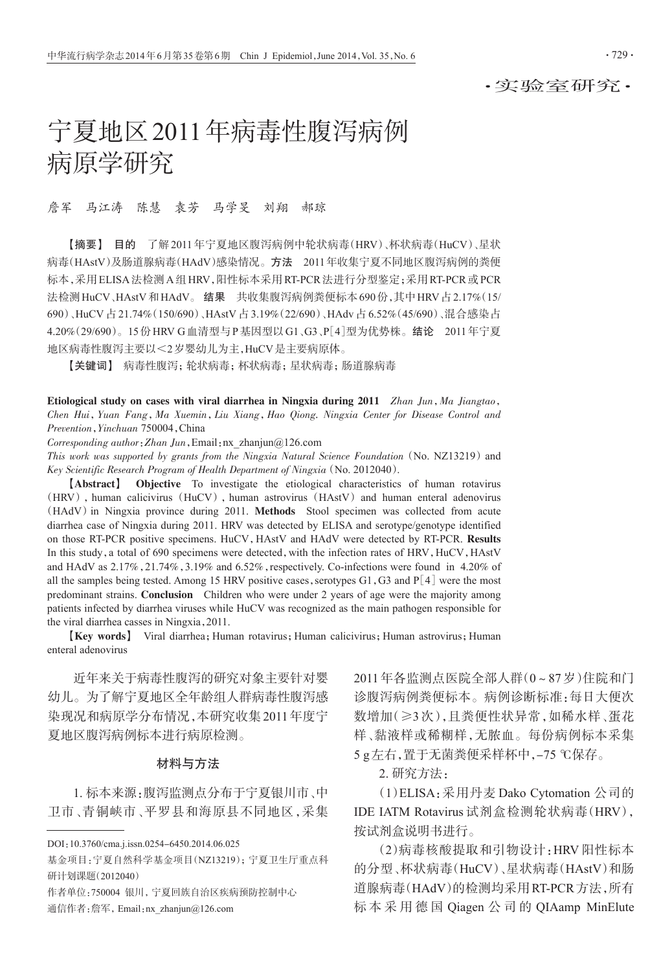# 宁夏地区2011年病毒性腹泻病例 病原学研究

詹军 马江涛 陈慧 袁芳 马学旻 刘翔 郝琼

【摘要】 目的 了解2011年宁夏地区腹泻病例中轮状病毒(HRV)、杯状病毒(HuCV)、星状 病毒(HAstV)及肠道腺病毒(HAdV)感染情况。方法 2011年收集宁夏不同地区腹泻病例的粪便 标本,采用ELISA法检测A组HRV,阳性标本采用RT-PCR法进行分型鉴定;采用RT-PCR或PCR 法检测 HuCV、HAstV 和 HAdV。 结果 共收集腹泻病例粪便标本 690 份, 其中 HRV 占 2.17% (15/ 690)、HuCV 占 21.74%(150/690)、HAstV 占 3.19%(22/690)、HAdv 占 6.52%(45/690)、混合感染占 4.20%(29/690)。15份HRV G血清型与P基因型以G1、G3、P[4]型为优势株。结论 2011年宁夏 地区病毒性腹泻主要以<2岁婴幼儿为主,HuCV是主要病原体。

【关键词】 病毒性腹泻;轮状病毒;杯状病毒;星状病毒;肠道腺病毒

Etiological study on cases with viral diarrhea in Ningxia during 2011 Zhan Jun, Ma Jiangtao, Chen Hui,Yuan Fang,Ma Xuemin,Liu Xiang,Hao Qiong. Ningxia Center for Disease Control and Prevention,Yinchuan 750004,China

Corresponding author:Zhan Jun,Email:nx\_zhanjun@126.com

This work was supported by grants from the Ningxia Natural Science Foundation ( $No. NZ13219$ ) and Key Scientific Research Program of Health Department of Ningxia(No. 2012040).

【Abstract】 Objective To investigate the etiological characteristics of human rotavirus (HRV), human calicivirus (HuCV), human astrovirus (HAstV) and human enteral adenovirus (HAdV)in Ningxia province during 2011. Methods Stool specimen was collected from acute diarrhea case of Ningxia during 2011. HRV was detected by ELISA and serotype/genotype identified on those RT-PCR positive specimens. HuCV, HAstV and HAdV were detected by RT-PCR. Results In this study, a total of 690 specimens were detected, with the infection rates of HRV, HuCV, HAstV and HAdV as  $2.17\%$ ,  $21.74\%$ ,  $3.19\%$  and  $6.52\%$ , respectively. Co-infections were found in 4.20% of all the samples being tested. Among 15 HRV positive cases, serotypes  $G1, G3$  and  $P[4]$  were the most predominant strains. Conclusion Children who were under 2 years of age were the majority among patients infected by diarrhea viruses while HuCV was recognized as the main pathogen responsible for the viral diarrhea casses in Ningxia,2011.

【Key words】 Viral diarrhea;Human rotavirus;Human calicivirus;Human astrovirus;Human enteral adenovirus

近年来关于病毒性腹泻的研究对象主要针对婴 幼儿。为了解宁夏地区全年龄组人群病毒性腹泻感 染现况和病原学分布情况,本研究收集2011年度宁 夏地区腹泻病例标本进行病原检测。

## 材料与方法

1. 标本来源:腹泻监测点分布于宁夏银川市、中 卫市、青铜峡市、平罗县和海原县不同地区,采集 2011年各监测点医院全部人群(0~87岁)住院和门 诊腹泻病例粪便标本。病例诊断标准:每日大便次 数增加(≥3次),且粪便性状异常,如稀水样、蛋花 样、黏液样或稀糊样,无脓血。每份病例标本采集 5 g左右,置于无菌粪便采样杯中,-75 ℃保存。

2. 研究方法:

(1)ELISA:采用丹麦 Dako Cytomation 公司的 IDE IATM Rotavirus 试剂盒检测轮状病毒(HRV), 按试剂盒说明书进行。

(2)病毒核酸提取和引物设计:HRV 阳性标本 的分型、杯状病毒(HuCV)、星状病毒(HAstV)和肠 道腺病毒(HAdV)的检测均采用RT-PCR方法,所有 标 本 采 用 德 国 Qiagen 公 司 的 QIAamp MinElute

DOI:10.3760/cma.j.issn.0254-6450.2014.06.025

基金项目:宁夏自然科学基金项目(NZ13219);宁夏卫生厅重点科 研计划课题(2012040)

作者单位:750004 银川,宁夏回族自治区疾病预防控制中心 通信作者:詹军,Email:nx\_zhanjun@126.com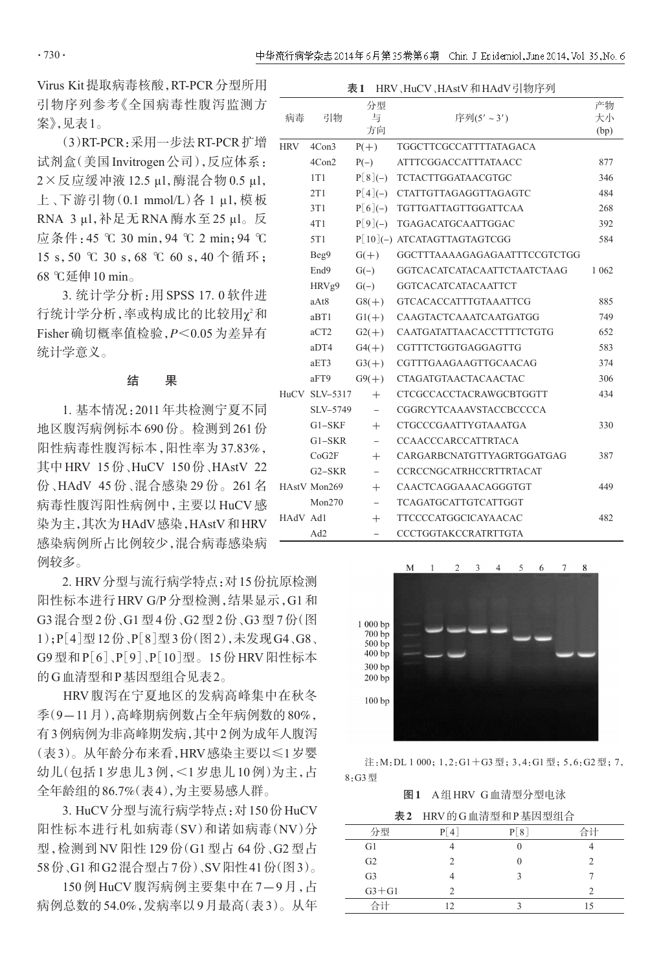Virus Kit提取病毒核酸,RT-PCR分型所用 引物序列参考《全国病毒性腹泻监测方 案》,见表1。

(3)RT-PCR:采用一步法 RT-PCR 扩增  $\overline{\text{HRV}}$ 试剂盒(美国 Invitrogen 公司),反应体系: 2×反应缓冲液 12.5 μl,酶混合物 0.5 μl, 上、下游引物(0.1 mmol/L)各 1 μl,模板 RNA 3 μl,补足无 RNA 酶水至 25 μl。反 应条件:45 ℃ 30 min,94 ℃ 2 min;94 ℃ 15 s,50 ℃ 30 s,68 ℃ 60 s,40 个循环; 68 ℃延伸10 min。

3. 统计学分析:用 SPSS 17. 0 软件进 行统计学分析,率或构成比的比较用χ<sup>2</sup>和  $F$ isher 确切概率值检验, $P \leq 0.05$  为差异有 统计学意义。

## 结 果

1. 基本情况:2011年共检测宁夏不同 地区腹泻病例标本690份。检测到261份 阳性病毒性腹泻标本,阳性率为 37.83%, 其中HRV 15份、HuCV 150份、HAstV 22 份 、HAdV 45 份 、混合感染 29 份。 261 名 HAstV 病毒性腹泻阳性病例中,主要以 HuCV 感 染为主,其次为HAdV感染,HAstV和HRV 感染病例所占比例较少,混合病毒感染病 例较多。

2. HRV分型与流行病学特点:对15份抗原检测 阳性标本进行HRV G/P分型检测,结果显示,G1和 G3混合型2份、G1型4份、G2型2份、G3型7份(图 1);P[4]型12份、P[8]型3份(图2),未发现G4、G8、 G9型和P[6]、P[9]、P[10]型。15份HRV阳性标本 的G血清型和P基因型组合见表2。

HRV 腹泻在宁夏地区的发病高峰集中在秋冬 季(9-11月),高峰期病例数占全年病例数的80%, 有3例病例为非高峰期发病,其中2例为成年人腹泻 (表3)。从年龄分布来看,HRV感染主要以≤1岁婴 幼儿(包括1岁患儿3例,<1岁患儿10例)为主,占 全年龄组的86.7%(表4),为主要易感人群。

3. HuCV分型与流行病学特点:对150份HuCV 阳性标本进行札如病毒(SV)和诺如病毒(NV)分 型,检测到 NV 阳性 129 份(G1 型占 64 份、G2 型占 58份、G1和G2混合型占7份)、SV阳性41份(图3)。

150 例 HuCV 腹泻病例主要集中在 7-9 月,占 病例总数的54.0%,发病率以9月最高(表3)。从年

| HRV、HuCV、HAstV和HAdV引物序列<br>表 1 |               |                          |                                    |         |  |  |
|--------------------------------|---------------|--------------------------|------------------------------------|---------|--|--|
|                                |               | 分型                       |                                    | 产物      |  |  |
| 病毒                             | 引物            | 与                        | 序列(5'~3')                          | 大小      |  |  |
|                                |               | 方向                       |                                    | (bp)    |  |  |
| <b>HRV</b><br>4Con3<br>$P(+)$  |               |                          | <b>TGGCTTCGCCATTTTATAGACA</b>      |         |  |  |
|                                | 4Con2         | $P(-)$                   | <b>ATTTCGGACCATTTATAACC</b>        | 877     |  |  |
|                                | 1T1           | $P[8](-)$                | <b>TCTACTTGGATAACGTGC</b>          | 346     |  |  |
|                                | 2T1           | $P[4](-)$                | <b>CTATTGTTAGAGGTTAGAGTC</b>       | 484     |  |  |
|                                | 3T1           | $P[6](-)$                | TGTTGATTAGTTGGATTCAA               | 268     |  |  |
|                                | 4T1           | $P[9](-)$                | TGAGACATGCAATTGGAC                 | 392     |  |  |
|                                | 5T1           |                          | P[10](-) ATCATAGTTAGTAGTCGG        | 584     |  |  |
|                                | Beg9          | $G(+)$                   | GGCTTTAAAAGAGAGAATTTCCGTCTGG       |         |  |  |
|                                | End9          | $G(-)$                   | <b>GGTCACATCATACAATTCTAATCTAAG</b> | 1 0 6 2 |  |  |
|                                | HRVg9         | $G(-)$                   | <b>GGTCACATCATACAATTCT</b>         |         |  |  |
|                                | aAt8          | $G8(+)$                  | <b>GTCACACCATTTGTAAATTCG</b>       | 885     |  |  |
|                                | aBT1          | $G1(+)$                  | CAAGTACTCAAATCAATGATGG             | 749     |  |  |
|                                | aCT2          | $G2(+)$                  | CAATGATATTAACACCTTTTCTGTG          | 652     |  |  |
| aDT4<br>$G4(+)$                |               |                          | CGTTTCTGGTGAGGAGTTG                | 583     |  |  |
|                                | aET3          | $G3(+)$                  | CGTTTGAAGAAGTTGCAACAG              | 374     |  |  |
|                                | aFT9          | $G9(+)$                  | <b>CTAGATGTAACTACAACTAC</b>        | 306     |  |  |
|                                | HuCV SLV-5317 | $+$                      | <b>CTCGCCACCTACRAWGCBTGGTT</b>     | 434     |  |  |
|                                | SLV-5749      | $\overline{\phantom{a}}$ | <b>CGGRCYTCAAAVSTACCBCCCCA</b>     |         |  |  |
|                                | $G1-SKF$      | $+$                      | <b>CTGCCCGAATTYGTAAATGA</b>        | 330     |  |  |
|                                | $G1-SKR$      | $\overline{\phantom{0}}$ | <b>CCAACCCARCCATTRTACA</b>         |         |  |  |
|                                | CoG2F         | $+$                      | CARGARBCNATGTTYAGRTGGATGAG         | 387     |  |  |
|                                | $G2-SKR$      | $\overline{\phantom{0}}$ | <b>CCRCCNGCATRHCCRTTRTACAT</b>     |         |  |  |
|                                | HAstV Mon269  | $+$                      | CAACTCAGGAAACAGGGTGT               | 449     |  |  |
|                                | Mon270        | $\overline{\phantom{0}}$ | <b>TCAGATGCATTGTCATTGGT</b>        |         |  |  |
| HAdV Ad1                       |               | $^{+}$                   | <b>TTCCCCATGGCICAYAACAC</b>        | 482     |  |  |
|                                | Ad2           | $\overline{\phantom{0}}$ | <b>CCCTGGTAKCCRATRTTGTA</b>        |         |  |  |



注: M: DL 1 000; 1, 2: G1 + G3 型; 3, 4: G1 型; 5, 6: G2 型; 7, 8:G3型

图1 A组HRV G血清型分型电泳

表2 HRV的G血清型和P基因型组合

| 4  | $\left\lceil 8 \right\rceil$ | 合计 |
|----|------------------------------|----|
|    | U                            |    |
| 2  |                              | っ  |
|    |                              |    |
|    |                              |    |
| 12 |                              |    |
|    |                              |    |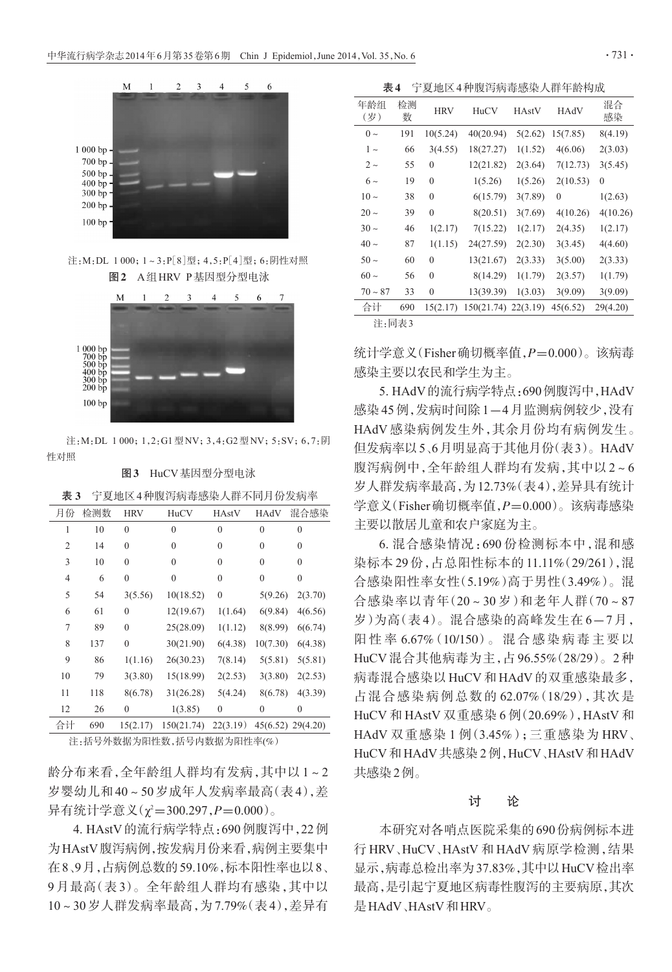

注: M: DL 1 000; 1~3: P[8]型; 4,5: P[4]型; 6: 阴性对照 图2 A组HRV P基因型分型电泳



注: M: DL 1 000; 1, 2: G1 型 NV; 3, 4: G2 型 NV; 5: SV; 6, 7: 阴 性对照

#### 图3 HuCV基因型分型电泳

| 月份             | 检测数 | <b>HRV</b>       | HuCV         | <b>HAstV</b>     | HAdV           | 混合感染              |
|----------------|-----|------------------|--------------|------------------|----------------|-------------------|
| 1              | 10  | $\mathbf{0}$     | $\theta$     | $\theta$         | $\theta$       | $\Omega$          |
| $\overline{2}$ | 14  | $\mathbf{0}$     | $\mathbf{0}$ | $\boldsymbol{0}$ | $\mathbf{0}$   | $\mathbf{0}$      |
| 3              | 10  | $\mathbf{0}$     | $\mathbf{0}$ | $\boldsymbol{0}$ | $\overline{0}$ | $\theta$          |
| $\overline{4}$ | 6   | $\mathbf{0}$     | $\mathbf{0}$ | $\theta$         | $\overline{0}$ | $\theta$          |
| 5              | 54  | 3(5.56)          | 10(18.52)    | 0                | 5(9.26)        | 2(3.70)           |
| 6              | 61  | $\mathbf{0}$     | 12(19.67)    | 1(1.64)          | 6(9.84)        | 4(6.56)           |
| 7              | 89  | $\mathbf{0}$     | 25(28.09)    | 1(1.12)          | 8(8.99)        | 6(6.74)           |
| 8              | 137 | $\mathbf{0}$     | 30(21.90)    | 6(4.38)          | 10(7.30)       | 6(4.38)           |
| 9              | 86  | 1(1.16)          | 26(30.23)    | 7(8.14)          | 5(5.81)        | 5(5.81)           |
| 10             | 79  | 3(3.80)          | 15(18.99)    | 2(2.53)          | 3(3.80)        | 2(2.53)           |
| 11             | 118 | 8(6.78)          | 31(26.28)    | 5(4.24)          | 8(6.78)        | 4(3.39)           |
| 12             | 26  | $\boldsymbol{0}$ | 1(3.85)      | $\boldsymbol{0}$ | $\mathbf{0}$   | $\theta$          |
| 合计             | 690 | 15(2.17)         | 150(21.74)   | 22(3.19)         |                | 45(6.52) 29(4.20) |
|                |     |                  |              |                  |                |                   |

表 3 宁夏地区4种腹泻病毒感染人群不同月份发病率

注:括号外数据为阳性数,括号内数据为阳性率(%)

龄分布来看,全年龄组人群均有发病,其中以 1~2 岁婴幼儿和40~50岁成年人发病率最高(表4),差 异有统计学意义(χ²=300.297,*P*=0.000)。

4. HAstV的流行病学特点:690例腹泻中,22例 为HAstV腹泻病例,按发病月份来看,病例主要集中 在8、9月,占病例总数的59.10%,标本阳性率也以8、 9 月最高(表 3)。全年龄组人群均有感染,其中以 10~30岁人群发病率最高,为7.79%(表4),差异有

表4 宁夏地区4种腹泻病毒感染人群年龄构成

| 年龄组<br>(岁) | 检测<br>数 | <b>HRV</b>   | HuCV                | <b>HAstV</b> | HAdV     | 混合<br>感染     |
|------------|---------|--------------|---------------------|--------------|----------|--------------|
| $0 \sim$   | 191     | 10(5.24)     | 40(20.94)           | 5(2.62)      | 15(7.85) | 8(4.19)      |
| $1\sim$    | 66      | 3(4.55)      | 18(27.27)           | 1(1.52)      | 4(6.06)  | 2(3.03)      |
| $2\sim$    | 55      | $\mathbf{0}$ | 12(21.82)           | 2(3.64)      | 7(12.73) | 3(5.45)      |
| $6\sim$    | 19      | $\mathbf{0}$ | 1(5.26)             | 1(5.26)      | 2(10.53) | $\mathbf{0}$ |
| $10 \sim$  | 38      | $\theta$     | 6(15.79)            | 3(7.89)      | $\theta$ | 1(2.63)      |
| $20 \sim$  | 39      | $\mathbf{0}$ | 8(20.51)            | 3(7.69)      | 4(10.26) | 4(10.26)     |
| $30 \sim$  | 46      | 1(2.17)      | 7(15.22)            | 1(2.17)      | 2(4.35)  | 1(2.17)      |
| $40 \sim$  | 87      | 1(1.15)      | 24(27.59)           | 2(2.30)      | 3(3.45)  | 4(4.60)      |
| $50 \sim$  | 60      | $\mathbf{0}$ | 13(21.67)           | 2(3.33)      | 3(5.00)  | 2(3.33)      |
| $60 \sim$  | 56      | $\mathbf{0}$ | 8(14.29)            | 1(1.79)      | 2(3.57)  | 1(1.79)      |
| $70 - 87$  | 33      | $\mathbf{0}$ | 13(39.39)           | 1(3.03)      | 3(9.09)  | 3(9.09)      |
| 合计         | 690     | 15(2.17)     | 150(21.74) 22(3.19) |              | 45(6.52) | 29(4.20)     |
| 注:同表3      |         |              |                     |              |          |              |

统计学意义(Fisher确切概率值, $P=0.000$ )。该病毒 感染主要以农民和学生为主。

5. HAdV的流行病学特点:690例腹泻中,HAdV 感染45例,发病时间除1-4月监测病例较少,没有 HAdV 感染病例发生外,其余月份均有病例发生。 但发病率以5、6月明显高于其他月份(表3)。HAdV 腹泻病例中,全年龄组人群均有发病,其中以2~6 岁人群发病率最高,为12.73%(表4),差异具有统计  $\cong$ 意义(Fisher 确切概率值, $P=0.000$ )。该病毒感染 主要以散居儿童和农户家庭为主。

6. 混合感染情况:690 份检测标本中,混和感 染标本 29 份,占总阳性标本的 11.11%(29/261),混 合感染阳性率女性(5.19%)高于男性(3.49%)。混 合感染率以青年(20~30 岁)和老年人群(70~87 岁)为高(表4)。混合感染的高峰发生在 6-7月, 阳 性 率 6.67%(10/150)。 混 合 感 染 病 毒 主 要 以 HuCV 混合其他病毒为主,占 96.55%(28/29)。2 种 病毒混合感染以 HuCV 和 HAdV 的双重感染最多, 占混合感染病例总数的 62.07%(18/29),其次是 HuCV 和 HAstV 双重感染 6 例(20.69%),HAstV 和 HAdV 双重感染 1 例(3.45%);三重感染为 HRV、 HuCV和HAdV共感染2例,HuCV、HAstV和HAdV 共感染2例。

## 讨 论

本研究对各哨点医院采集的690份病例标本进 行 HRV、HuCV、HAstV 和 HAdV 病原学检测,结果 显示,病毒总检出率为37.83%,其中以HuCV检出率 最高,是引起宁夏地区病毒性腹泻的主要病原,其次 是HAdV、HAstV和HRV。